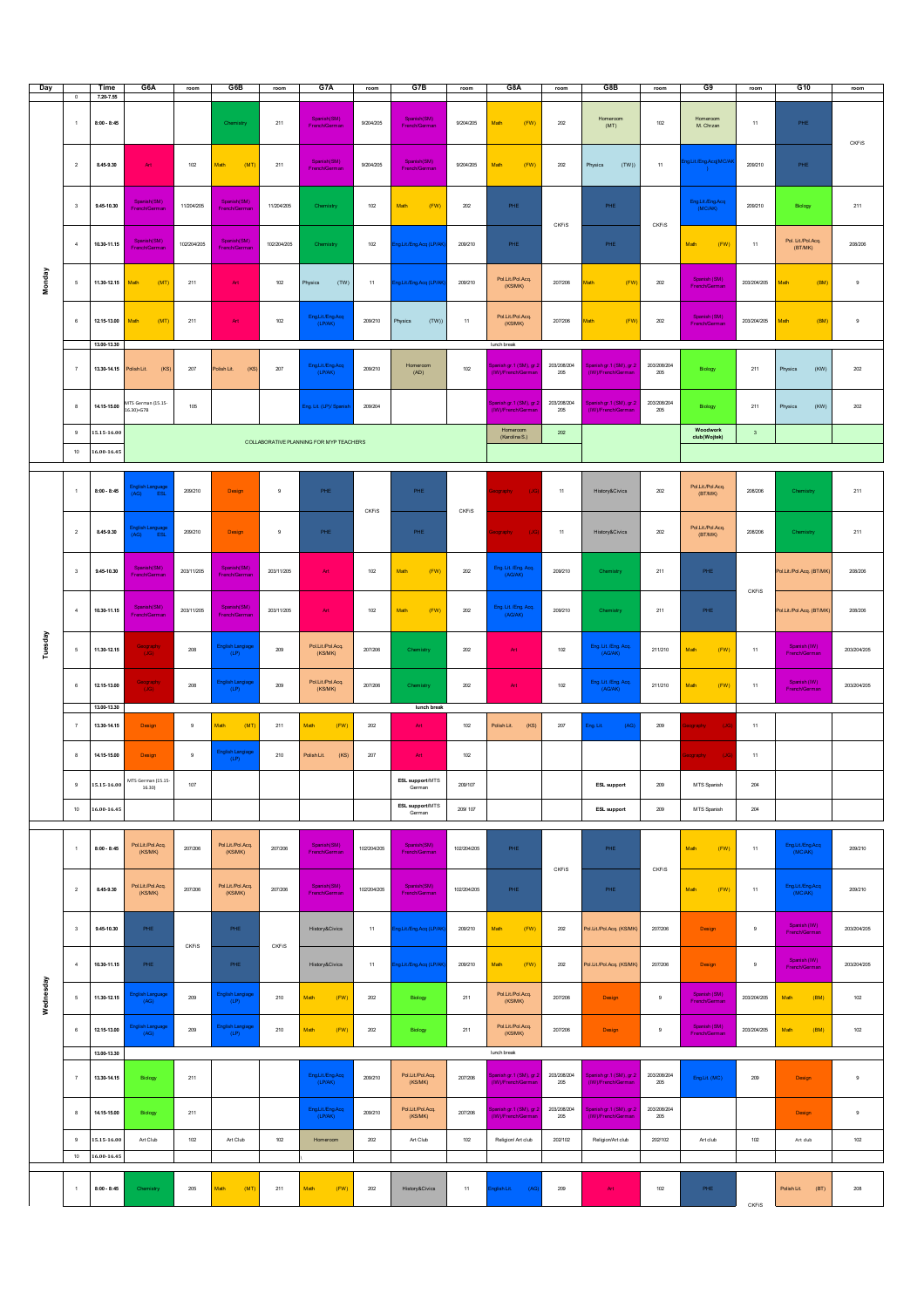| Day                     |                              | Time                                                   | G6A                                          | room          | G6B                                          | room         | G7A                          | room         | G7B                                     | room           | G8A                                                                                     | room                   | G8B                                           | room               | G9                                            | room         | G10                           | room        |
|-------------------------|------------------------------|--------------------------------------------------------|----------------------------------------------|---------------|----------------------------------------------|--------------|------------------------------|--------------|-----------------------------------------|----------------|-----------------------------------------------------------------------------------------|------------------------|-----------------------------------------------|--------------------|-----------------------------------------------|--------------|-------------------------------|-------------|
| Monday                  | $^{\circ}$<br>$\overline{1}$ | 7.20-7.55<br>$8:00 - 8:45$                             |                                              |               | Chemistry                                    | 211          | Spanish(SM)<br>French/German | 9/204/205    | Spanish(SM)<br>French/German            | 9/204/205      | Math<br>(FW)                                                                            | 202                    | Homeroom<br>(MT)                              | 102                | Homeroom<br>M. Chrzan                         | $11\,$       | PHE                           | CKFIS       |
|                         | $\sqrt{2}$                   | 8.45-9.30                                              | Art                                          | 102           | (MT)<br>Math                                 | 211          | Spanish(SM)<br>French/German | 9/204/205    | Spanish(SM)<br>French/German            | 9/204/205      | (FW)<br>Math                                                                            | 202                    | (TW)<br>Physics                               | 11                 | ng.Lit/Eng.Acq(MC/A                           | 209/210      | PHE                           |             |
|                         | $^{\rm 3}$                   | 9.45-10.30                                             | Spanish(SM)<br>French/German                 | 11/204/205    | Spanish(SM)<br>French/German                 | 11/204/205   | Chemistry                    | 102          | Math<br>(FW)                            | $202\,$        | PHE                                                                                     | <b>CKFIS</b>           | PHE                                           | CKFIS              | Eng.Lit/Eng.Acq<br>(MC/AK)                    | 209/210      | Biology                       | 211         |
|                         | $\overline{4}$               | 10.30-11.15                                            | Spanish(SM)<br>ench/Germa                    | 102/204/205   | Spanish(SM)<br>French/German                 | 102/204/205  | Chemistry                    | 102          | g.Lit/Eng.Acq (LP/AK                    | 209/210        | PHE                                                                                     |                        | PHE                                           |                    | Math<br>(FW)                                  | 11           | Pol. Lit/Pol.Acq.<br>(BT/MK)  | 208/206     |
|                         | $\sqrt{5}$                   | 11.30-12.15                                            | Math<br>(MT)                                 | $211\,$       | $\mathsf{Art}$                               | $102\,$      | (TW)<br><b>Trysics</b>       | $11\,$       | g.Lit/Eng.Acq (LP/Al                    | 209/210        | Pol.Lit/Pol.Acq.<br>(KS/MK)                                                             | 207/206                | (FW<br>Aath                                   | $202\,$            | Spanish (SM)<br>French/German                 | 203/204/205  | (BM<br>Math                   | $_{9}$      |
|                         | $_{\rm 6}$                   | 12.15-13.00<br>13.00-13.30                             | (MT)<br>Math                                 | 211           | Art                                          | 102          | Eng.Lit/Eng.Acq<br>(LP/AK)   | 209/210      | (TW))<br>Physics                        | 11             | Pol.Lit/Pol.Acq.<br>(KS/MK)<br>lunch break                                              | 207/206                | (FW)<br>Aath                                  | $202\,$            | Spanish (SM)<br>French/German                 | 203/204/205  | (BM)<br>Math                  | $_{9}$      |
|                         | $\,$ $\,$                    | 13.30-14.15                                            | Polish Lit.<br>(KS)                          | 207           | (KS)<br>Polish Lit.                          | 207          | Eng.Lit/Eng.Acq<br>(LP/AK)   | 209/210      | Homeroom<br>(AD)                        | 102            | panish gr.1 (SM), gr.2<br>(IW)/French/German                                            | 203/208/204<br>205     | Spanish gr.1 (SM), gr.2<br>(IW)/French/German | 203/208/204<br>205 | Biology                                       | 211          | (KW)<br>Physics               | $202\,$     |
|                         | 8                            | 14.15-15.00                                            | MTS German (15.15-<br>16.30)+G7B             | 105           |                                              |              | Eng. Lit. (LP)/ Spanisi      | 209/204      |                                         |                | anish gr.1 (SM), gr.<br>(IW)/French/Germa                                               | 203/208/204<br>205     | Spanish gr.1 (SM), gr.2<br>(IW)/French/German | 203/208/204<br>205 | Biology                                       | $211\,$      | (KW)<br>Physics               | 202         |
|                         | $_{9}$                       | 15.15-16.00<br>COLLABORATIVE PLANNING FOR MYP TEACHERS |                                              |               |                                              |              |                              |              |                                         |                | Woodwork<br>Homeroom<br>202<br>$\overline{\mathbf{3}}$<br>(Karolina S.)<br>club(Wojtek) |                        |                                               |                    |                                               |              |                               |             |
| $10$<br>$16.00 - 16.45$ |                              |                                                        |                                              |               |                                              |              |                              |              |                                         |                |                                                                                         |                        |                                               |                    |                                               |              |                               |             |
| Tuesday                 | $\overline{1}$               | $8:00 - 8:45$                                          | (AG)                                         | 209/210       | Design                                       | $^{\rm 9}$   | PHE                          | <b>CKFIS</b> | PHE                                     | CKFIS          | eography<br><b>U</b>                                                                    | $11$                   | History&Civics                                | $202\,$            | Pol.Lit./Pol.Acq.<br>(BT/MK)                  | 208/206      | Chemistry                     | 211         |
|                         | $\overline{2}$               | 8.45-9.30                                              | English Language<br>(AG) ESL                 | 209/210       | Design                                       | $\,9$        | PHE                          |              | PHE                                     |                | eography<br>(JG                                                                         | 11                     | History&Civics                                | 202                | Pol.Lit./Pol.Acq.<br>(BT/MK)                  | 208/206      | Chemistry                     | 211         |
|                         | $^{\rm 3}$                   | 9.45-10.30                                             | Spanish(SM)<br>French/German                 | 203/11/205    | Spanish(SM)<br>French/German                 | 203/11/205   | Art                          | $102\,$      | (FW)<br>Math                            | $202\,$        | Eng. Lit. /Eng. Acq.<br>(AG/AK)                                                         | 209/210                | Chemistry                                     | 211                | PHE                                           | <b>CKFIS</b> | Pol.Lit/Pol.Acq. (BT/MK)      | 208/206     |
|                         | $\overline{4}$               | 10.30-11.15                                            | Spanish(SM)<br>French/German                 | 203/11/205    | Spanish(SM)<br>French/German                 | 203/11/205   | Art                          | 102          | Math<br>(FW)                            | 202            | Eng. Lit. /Eng. Acq.<br>(AG/AK)                                                         | 209/210                | Chemistry                                     | $211\,$            | PHE                                           |              | Pol.Lit/Pol.Acq. (BT/MK)      | 208/206     |
|                         | $\sqrt{5}$                   | 11.30-12.15                                            | Geography<br>(JG)                            | 208           | English Langiage<br>(LP)                     | 209          | Pol.Lit/Pol.Acq.<br>(KSMK)   | 207/206      | Chemistry                               | 202            | Art                                                                                     | 102                    | Eng. Lit. /Eng. Acq.<br>(AG/AK)               | 211/210            | (FW)<br>Math                                  | 11           | Spanish (IW)<br>French/German | 203/204/205 |
|                         | 6                            | 12.15-13.00<br>13.00-13.30                             | Geography<br>(JG)                            | $208\,$       | English Langiage<br>(LP)                     | 209          | Pol.Lit/Pol.Acq.<br>(KS/MK)  | 207/206      | Chemistry<br>lunch break                | $202\,$        | Art                                                                                     | 102                    | Eng. Lit. /Eng. Acq.<br>(AG/AK)               | 211/210            | Math<br>(FW)                                  | $11\,$       | Spanish (M)<br>French/German  | 203/204/205 |
|                         | $\overline{7}$               | 13.30-14.15                                            | Design                                       | $_{9}$        | Math<br>(MT)<br>English Langiage             | 211          | (FW)<br>Math                 | $202\,$      | Art                                     | 102            | Polish Lit.<br>(KS)                                                                     | 207                    | Eng. Lit.<br>(AG)                             | 209                | (JG)<br>eography                              | 11           |                               |             |
|                         | $\boldsymbol{8}$<br>9        | 14.15-15.00<br>15.15-16.00                             | Design<br>MTS German (15.15-<br>16.30)       | $_{9}$<br>107 | (LP)                                         | 210          | Polish Lit.<br>(KS)          | 207          | Art<br><b>ESL support/MTS</b><br>German | 102<br>209/107 |                                                                                         |                        | <b>ESL support</b>                            | 209                | leography<br>(JG)<br>MTS Spanish              | 11<br>204    |                               |             |
|                         |                              |                                                        |                                              |               |                                              |              |                              |              | <b>ESL support/MTS</b>                  | 209/107        |                                                                                         |                        |                                               |                    |                                               |              |                               |             |
|                         | $10$                         | $16.00 - 16.45$                                        |                                              |               |                                              |              |                              |              | German                                  |                |                                                                                         |                        | <b>ESL support</b>                            | 209                | MTS Spanish                                   | $204\,$      |                               |             |
|                         | $\overline{1}$               | $8:00 - 8:45$                                          | Pol.Lit/Pol.Acq.<br>(KS/MK)                  | 207/206       | Pol.Lit/Pol.Acq.<br>(KS/MK)                  | 207/206      | Spanish(SM)<br>French/German | 102/204/205  | Spanish(SM)<br><b>French/German</b>     | 102/204/205    | PHE                                                                                     | CKFiS                  | PHE                                           | CKFIS              | Math<br>(FW)                                  | $11\,$       | Eng.Lit./Eng.Acq<br>(MC/AK)   | 209/210     |
|                         | $\overline{2}$               | 8.45-9.30                                              | Pol.Lit/Pol.Acq.<br>(KS/MK)                  | 207/206       | Pol.Lit/Pol.Acq.<br>(KS/MK)                  | 207/206      | Spanish(SM)<br>French/German | 102/204/205  | Spanish(SM)<br>French/German            | 102/204/205    | PHE                                                                                     |                        | PHE                                           |                    | (FW)<br>Math                                  | 11           | Eng.Lit./Eng.Acq<br>(MC/AK)   | 209/210     |
|                         | $\overline{\mathbf{3}}$      | 9.45-10.30                                             | PHE                                          | <b>CKFIS</b>  | PHE                                          | <b>CKFIS</b> | History&Civics               | 11           | g.Lit/Eng.Acq (LP/Al                    | 209/210        | (FW)<br>Math                                                                            | 202                    | Pol.Lit/Pol.Acq. (KS/MK                       | 207/206            | Design                                        | 9            | Spanish (IV)<br>French/German | 203/204/205 |
| Wednesday               | $\overline{4}$               | 10.30-11.15                                            | PHE                                          |               | PHE                                          |              | History&Civics               | 11           | ng.Lit./Eng.Acq (LP/Al                  | 209/210        | (FW)<br>Math                                                                            | 202                    | Pol.Lit/Pol.Acq. (KS/MK                       | 207/206            | Design                                        | $^{\rm 9}$   | Spanish (M)<br>French/German  | 203/204/205 |
|                         | $\sqrt{5}$                   | 11.30-12.15                                            | Inglish Language<br>(AG)<br>English Language | $209\,$       | English Langiage<br>(LP)<br>English Langiage | $210\,$      | Math<br>(FW)                 | $202\,$      | Biology                                 | $211\,$        | Pol.Lit/Pol.Acq.<br>(KS/MK)<br>Pol.Lit/Pol.Acq.                                         | 207/206                | Design                                        | $\boldsymbol{9}$   | Spanish (SM)<br>French/German<br>Spanish (SM) | 203/204/205  | Math<br>(BM)                  | 102         |
|                         | $_{\rm 6}$                   | 12.15-13.00                                            | (AG)                                         | $209\,$       | (LP)                                         | $210\,$      | Math<br>(FW)                 | $202\,$      | Biology                                 | $211\,$        | (KS/MK)                                                                                 | 207/206                | Design                                        | $\mathbf 9$        | French/German                                 | 203/204/205  | Math<br>(BM)                  | 102         |
|                         |                              | 13.00-13.30                                            |                                              |               |                                              |              |                              |              |                                         |                | lunch break                                                                             |                        |                                               |                    |                                               |              |                               |             |
|                         | $\overline{7}$               | 13.30-14.15                                            | Biology                                      | 211           |                                              |              | Eng.Lit./Eng.Acq<br>(LP/AK)  | 209/210      | Pol.Lit/Pol.Acq.<br>(KS/MK)             | 207/206        | panish gr.1 (SM), gr.<br>(IW)/French/Germa                                              | 203/208/204<br>$206\,$ | Spanish gr.1 (SM), gr.2<br>(IW)/French/German | 203/208/204<br>205 | Eng.Lit. (MC)                                 | 209          | Design                        | $_{9}$      |
|                         | $\boldsymbol{8}$             | 14.15-15.00                                            | Biology                                      | 211           |                                              |              | Eng.Lit/Eng.Acq<br>(LP/AK)   | 209/210      | Pol.Lit/Pol.Acq.<br>(KS/MK)             | 207/206        | ianish gr.1 (SM), gr.<br>(IW)/French/Germa                                              | 203/208/204<br>205     | Spanish gr.1 (SM), gr.2<br>(IW)/French/German | 203/208/204<br>205 |                                               |              | Design                        | $_{9}$      |
|                         | $_{9}$                       | 15.15-16.00                                            | Art Club                                     | $102\,$       | Art Club                                     | $102\,$      | Homeroom                     | $202\,$      | Art Club                                | $102\,$        | Religion/ Art club                                                                      | 202/102                | Religion/Art club                             | 202/102            | Art club                                      | $102$        | Art club                      | 102         |
|                         | $10$                         | 16.00-16.45                                            |                                              |               |                                              |              |                              |              |                                         |                |                                                                                         |                        |                                               |                    |                                               |              |                               |             |
|                         | $\,$ 1                       | $8:00 - 8:45$                                          | Chemistry                                    | 205           | Math<br>(MT)                                 | 211          | Math<br>(FW)                 | 202          | History&Civics                          | 11             | nglish Lit.<br>(AG                                                                      | 209                    | Art                                           | $102\,$            | PHE                                           | <b>CKFIS</b> | Polish Lit.<br>(BT)           | 208         |